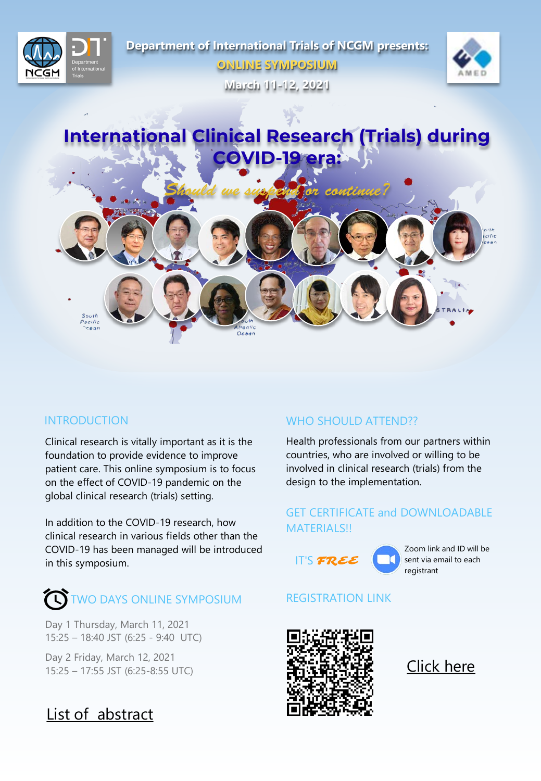

Clinical research is vitally important as it is the foundation to provide evidence to improve patient care. This online symposium is to focus on the effect of COVID-19 pandemic on the global clinical research (trials) setting.

In addition to the COVID-19 research, how clinical research in various fields other than the COVID-19 has been managed will be introduced in this symposium.

# $\mathbf{\widehat{N}}$  two days online symposium REGISTRATION LINK

 $\mathbf{c}$  **c**  $\mathbf{c}$  **c** ttos **t**  $\mathbf{t}$  **c**  $\mathbf{c}$  **c c c pcs**  $\alpha$  **c** tocstc **[t[x [uxc \[c [t[z [xc [—c [ky [p[{ux [xc [˜— [†l**

## **INTRODUCTION WHO SHOULD ATTEND??**

Health professionals from our partners within countries, who are involved or willing to be involved in clinical research (trials) from the design to the implementation.

### GET CERTIFICATE and DOWNLOADABLE MATERIALS!!



Zoom link and ID will be sent via email to each registrant